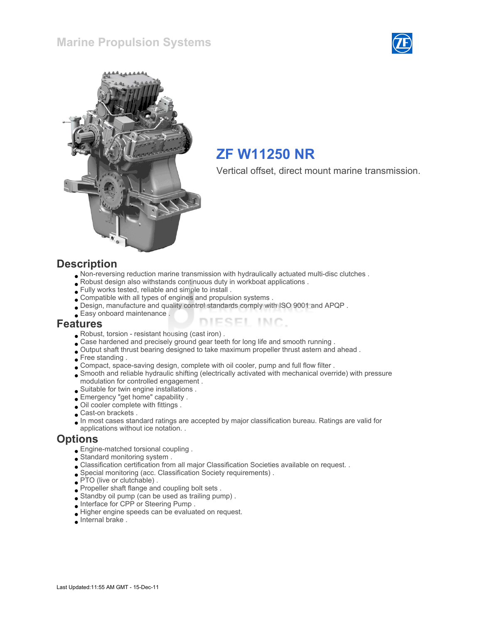



## ZF W11250 NR

Vertical offset, direct mount marine transmission.

#### **Description**

- Non-reversing reduction marine transmission with hydraulically actuated multi-disc clutches .
- Robust design also withstands continuous duty in workboat applications .
- Fully works tested, reliable and simple to install .
- Compatible with all types of engines and propulsion systems .
- Design, manufacture and quality control standards comply with ISO 9001 and APQP .
- Easy onboard maintenance .

#### Features

- Robust, torsion resistant housing (cast iron) .
- Case hardened and precisely ground gear teeth for long life and smooth running .
- Output shaft thrust bearing designed to take maximum propeller thrust astern and ahead .
- Free standing .
- Compact, space-saving design, complete with oil cooler, pump and full flow filter .
- Smooth and reliable hydraulic shifting (electrically activated with mechanical override) with pressure modulation for controlled engagement .

ESEL INC.

- Suitable for twin engine installations .
- Emergency "get home" capability .
- Oil cooler complete with fittings .
- Cast-on brackets .
- In most cases standard ratings are accepted by major classification bureau. Ratings are valid for
- applications without ice notation. .

#### **Options**

- Engine-matched torsional coupling .
- Standard monitoring system .
- Classification certification from all major Classification Societies available on request. .
- Special monitoring (acc. Classification Society requirements) .
- **PTO** (live or clutchable).
- Propeller shaft flange and coupling bolt sets .
- Standby oil pump (can be used as trailing pump) .
- Interface for CPP or Steering Pump .
- Higher engine speeds can be evaluated on request.
- Internal brake .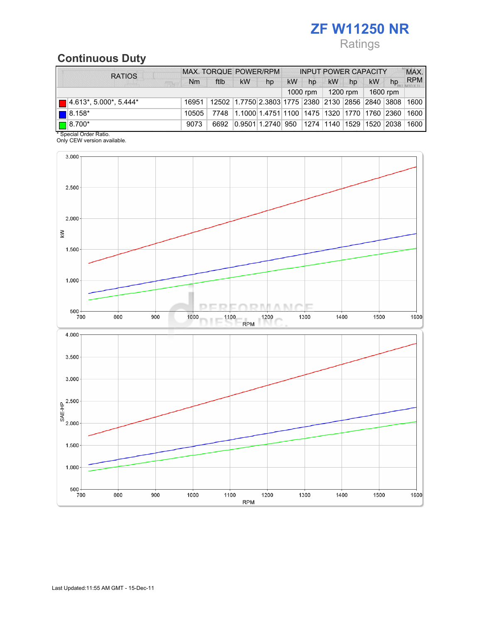# ZF W11250 NR

## Ratings

## Continuous Duty

| <b>RATIOS</b>                                | MAX. TORQUE POWER/RPM |                                                                                  |           | <b>INPUT POWER CAPACITY</b>                             |           |    |           |    |           | MAX. |            |
|----------------------------------------------|-----------------------|----------------------------------------------------------------------------------|-----------|---------------------------------------------------------|-----------|----|-----------|----|-----------|------|------------|
| <b>SERV</b>                                  | N <sub>m</sub>        | ftlb                                                                             | <b>kW</b> | hp                                                      | <b>kW</b> | hp | <b>kW</b> | hp | <b>kW</b> | hp   | <b>RPM</b> |
| 1600 rpm<br>1200 rpm $\parallel$<br>1000 rpm |                       |                                                                                  |           |                                                         |           |    |           |    |           |      |            |
| $\blacksquare$ 4.613*, 5.000*, 5.444*        |                       | 16951   12502   1.7750   2.3803   1775   2380   2130   2856   2840   3808   1600 |           |                                                         |           |    |           |    |           |      |            |
| $\left  \right $ 8.158*                      | 10505                 |                                                                                  |           | 7748 1.1000 1.4751 1100 1475 1320 1770 1760 2360 1600   |           |    |           |    |           |      |            |
| $\boxed{\blacksquare}$ 8.700*                | 9073                  | 6692                                                                             |           | 0.9501 1.2740  950  1274  1140  1529  1520  2038   1600 |           |    |           |    |           |      |            |

\* Special Order Ratio.

Only CEW version available.

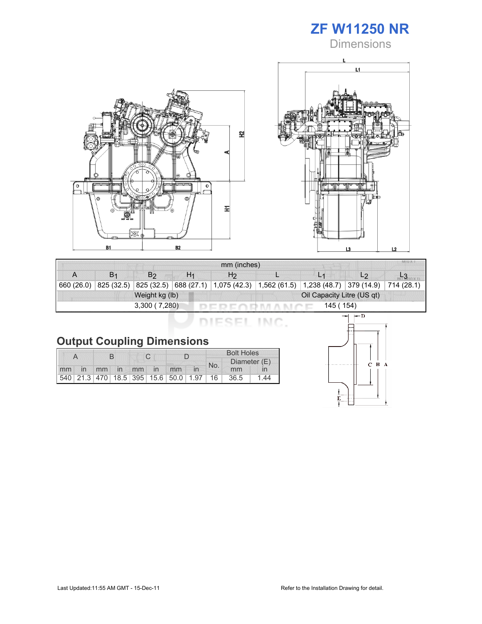

**Dimensions** 





| mm (inches) |                |                |    |                                                                                               |  |           |                |  |  |
|-------------|----------------|----------------|----|-----------------------------------------------------------------------------------------------|--|-----------|----------------|--|--|
|             | B <sub>1</sub> | B <sub>2</sub> | H1 | H <sub>2</sub>                                                                                |  |           | L <sub>2</sub> |  |  |
| 660(26.0)   |                |                |    | 825 (32.5) 825 (32.5) 688 (27.1) 1,075 (42.3) 1,562 (61.5) 1,238 (48.7) 379 (14.9) 714 (28.1) |  |           |                |  |  |
|             |                | Weight kg (lb) |    | Oil Capacity Litre (US qt)                                                                    |  |           |                |  |  |
|             |                | 3,300(7,280)   |    |                                                                                               |  | 145 (154) |                |  |  |

DIESEL INC.

## Output Coupling Dimensions

|  |                   |  |  |                     |                                         | <b>Bolt Holes</b> |  |      |                 |
|--|-------------------|--|--|---------------------|-----------------------------------------|-------------------|--|------|-----------------|
|  |                   |  |  | Diameter (E)<br>No. |                                         |                   |  |      |                 |
|  | mm in mm in mm in |  |  |                     | mm                                      |                   |  | mm   |                 |
|  |                   |  |  |                     | 540 21.3 470 18.5 395 15.6 50.0 1.97 16 |                   |  | 36.5 | $\overline{44}$ |